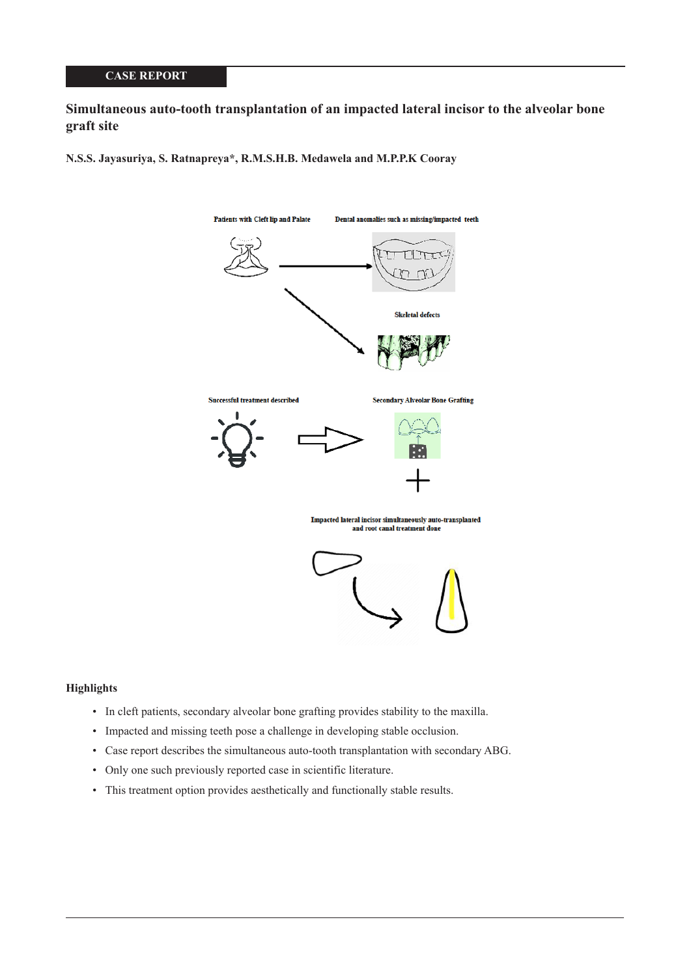# **Simultaneous auto-tooth transplantation of an impacted lateral incisor to the alveolar bone graft site**

**N.S.S. Jayasuriya, S. Ratnapreya\*, R.M.S.H.B. Medawela and M.P.P.K Cooray**



#### **Highlights**

- In cleft patients, secondary alveolar bone grafting provides stability to the maxilla.
- Impacted and missing teeth pose a challenge in developing stable occlusion.
- Case report describes the simultaneous auto-tooth transplantation with secondary ABG.
- Only one such previously reported case in scientific literature.
- This treatment option provides aesthetically and functionally stable results.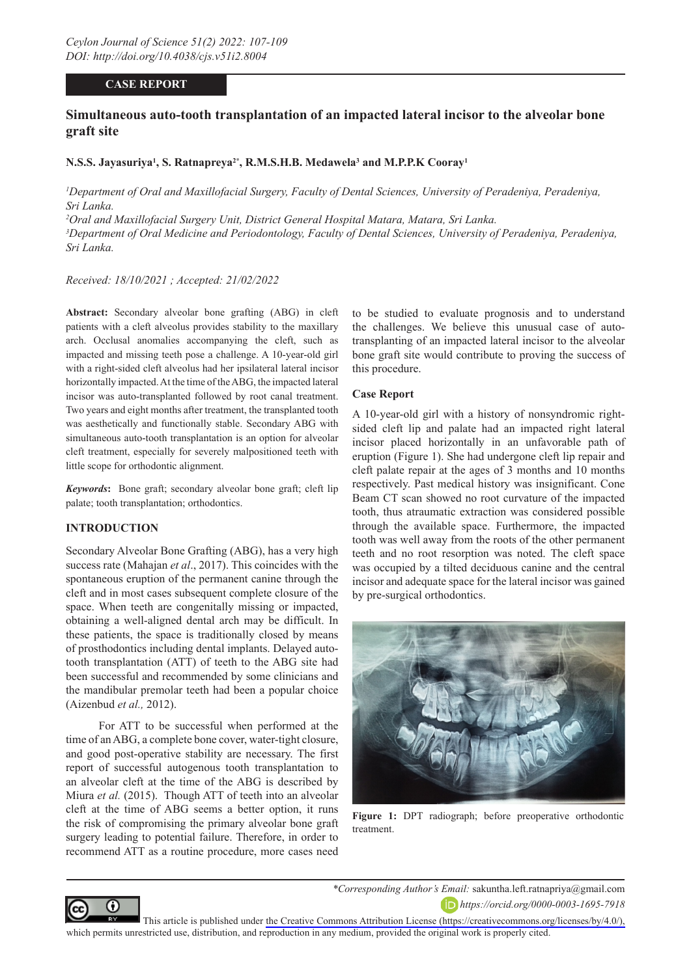# **CASE REPORT**

# **Simultaneous auto-tooth transplantation of an impacted lateral incisor to the alveolar bone graft site**

### **N.S.S. Jayasuriya1 , S. Ratnapreya2\*, R.M.S.H.B. Medawela3 and M.P.P.K Cooray1**

<sup>1</sup>Department of Oral and Maxillofacial Surgery, Faculty of Dental Sciences, University of Peradeniya, Peradeniya, *Sri Lanka.*

*2 Oral and Maxillofacial Surgery Unit, District General Hospital Matara, Matara, Sri Lanka.*

<sup>3</sup> Department of Oral Medicine and Periodontology, Faculty of Dental Sciences, University of Peradeniya, Peradeniya, *Sri Lanka.*

*Received: 18/10/2021 ; Accepted: 21/02/2022*

**Abstract:** Secondary alveolar bone grafting (ABG) in cleft patients with a cleft alveolus provides stability to the maxillary arch. Occlusal anomalies accompanying the cleft, such as impacted and missing teeth pose a challenge. A 10-year-old girl with a right-sided cleft alveolus had her ipsilateral lateral incisor horizontally impacted. At the time of the ABG, the impacted lateral incisor was auto-transplanted followed by root canal treatment. Two years and eight months after treatment, the transplanted tooth was aesthetically and functionally stable. Secondary ABG with simultaneous auto-tooth transplantation is an option for alveolar cleft treatment, especially for severely malpositioned teeth with little scope for orthodontic alignment.

*Keywords***:** Bone graft; secondary alveolar bone graft; cleft lip palate; tooth transplantation; orthodontics.

### **INTRODUCTION**

Secondary Alveolar Bone Grafting (ABG), has a very high success rate (Mahajan *et al*., 2017). This coincides with the spontaneous eruption of the permanent canine through the cleft and in most cases subsequent complete closure of the space. When teeth are congenitally missing or impacted, obtaining a well-aligned dental arch may be difficult. In these patients, the space is traditionally closed by means of prosthodontics including dental implants. Delayed autotooth transplantation (ATT) of teeth to the ABG site had been successful and recommended by some clinicians and the mandibular premolar teeth had been a popular choice (Aizenbud *et al.,* 2012).

For ATT to be successful when performed at the time of an ABG, a complete bone cover, water-tight closure, and good post-operative stability are necessary. The first report of successful autogenous tooth transplantation to an alveolar cleft at the time of the ABG is described by Miura *et al.* (2015). Though ATT of teeth into an alveolar cleft at the time of ABG seems a better option, it runs the risk of compromising the primary alveolar bone graft surgery leading to potential failure. Therefore, in order to recommend ATT as a routine procedure, more cases need

to be studied to evaluate prognosis and to understand the challenges. We believe this unusual case of autotransplanting of an impacted lateral incisor to the alveolar bone graft site would contribute to proving the success of this procedure.

#### **Case Report**

A 10-year-old girl with a history of nonsyndromic rightsided cleft lip and palate had an impacted right lateral incisor placed horizontally in an unfavorable path of eruption (Figure 1). She had undergone cleft lip repair and cleft palate repair at the ages of 3 months and 10 months respectively. Past medical history was insignificant. Cone Beam CT scan showed no root curvature of the impacted tooth, thus atraumatic extraction was considered possible through the available space. Furthermore, the impacted tooth was well away from the roots of the other permanent teeth and no root resorption was noted. The cleft space was occupied by a tilted deciduous canine and the central incisor and adequate space for the lateral incisor was gained by pre-surgical orthodontics.



**Figure 1:** DPT radiograph; before preoperative orthodontic treatment.



*\*Corresponding Author's Email:* sakuntha.left.ratnapriya@gmail.com *https://orcid.org/0000-0003-1695-7918*

This article is published under [the Creative Commons Attribution License \(https://creativecommons.org/licenses/by/4.0/\),](https://creativecommons.org/licenses/by/4.0/)  which permits unrestricted use, distribution, and reproduction in any medium, provided the original work is properly cited.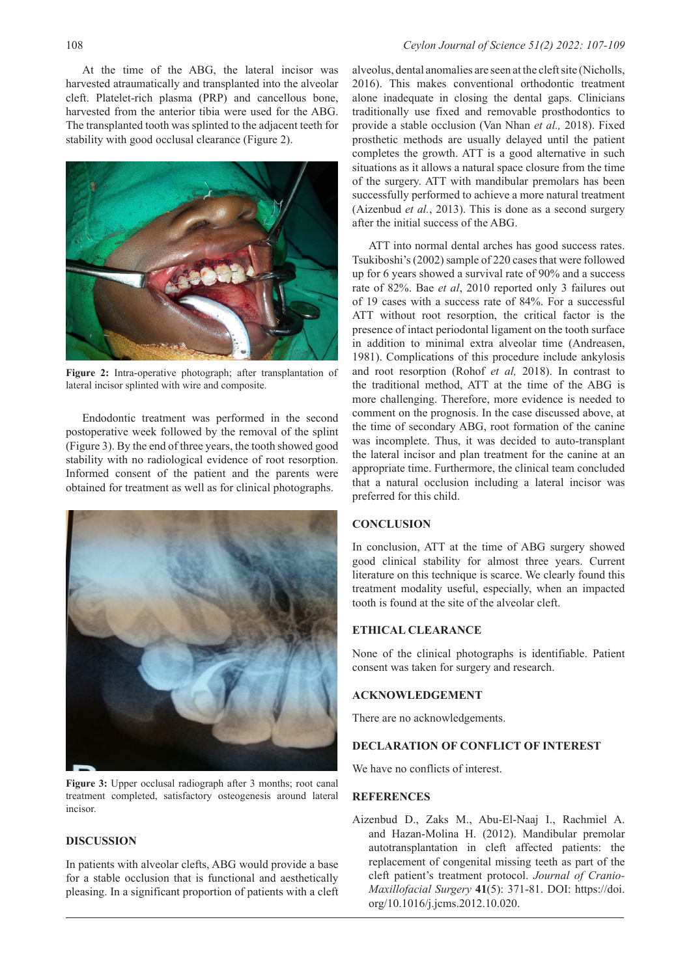At the time of the ABG, the lateral incisor was harvested atraumatically and transplanted into the alveolar cleft. Platelet-rich plasma (PRP) and cancellous bone, harvested from the anterior tibia were used for the ABG. The transplanted tooth was splinted to the adjacent teeth for stability with good occlusal clearance (Figure 2).



**Figure 2:** Intra-operative photograph; after transplantation of lateral incisor splinted with wire and composite.

Endodontic treatment was performed in the second postoperative week followed by the removal of the splint (Figure 3). By the end of three years, the tooth showed good stability with no radiological evidence of root resorption. Informed consent of the patient and the parents were obtained for treatment as well as for clinical photographs.



**Figure 3:** Upper occlusal radiograph after 3 months; root canal treatment completed, satisfactory osteogenesis around lateral incisor.

#### **DISCUSSION**

In patients with alveolar clefts, ABG would provide a base for a stable occlusion that is functional and aesthetically pleasing. In a significant proportion of patients with a cleft alveolus, dental anomalies are seen at the cleft site (Nicholls, 2016). This makes conventional orthodontic treatment alone inadequate in closing the dental gaps. Clinicians traditionally use fixed and removable prosthodontics to provide a stable occlusion (Van Nhan *et al.,* 2018). Fixed prosthetic methods are usually delayed until the patient completes the growth. ATT is a good alternative in such situations as it allows a natural space closure from the time of the surgery. ATT with mandibular premolars has been successfully performed to achieve a more natural treatment (Aizenbud *et al.*, 2013). This is done as a second surgery after the initial success of the ABG.

ATT into normal dental arches has good success rates. Tsukiboshi's (2002) sample of 220 cases that were followed up for 6 years showed a survival rate of 90% and a success rate of 82%. Bae *et al*, 2010 reported only 3 failures out of 19 cases with a success rate of 84%. For a successful ATT without root resorption, the critical factor is the presence of intact periodontal ligament on the tooth surface in addition to minimal extra alveolar time (Andreasen, 1981). Complications of this procedure include ankylosis and root resorption (Rohof *et al,* 2018). In contrast to the traditional method, ATT at the time of the ABG is more challenging. Therefore, more evidence is needed to comment on the prognosis. In the case discussed above, at the time of secondary ABG, root formation of the canine was incomplete. Thus, it was decided to auto-transplant the lateral incisor and plan treatment for the canine at an appropriate time. Furthermore, the clinical team concluded that a natural occlusion including a lateral incisor was preferred for this child.

#### **CONCLUSION**

In conclusion, ATT at the time of ABG surgery showed good clinical stability for almost three years. Current literature on this technique is scarce. We clearly found this treatment modality useful, especially, when an impacted tooth is found at the site of the alveolar cleft.

#### **ETHICAL CLEARANCE**

None of the clinical photographs is identifiable. Patient consent was taken for surgery and research.

#### **ACKNOWLEDGEMENT**

There are no acknowledgements.

# **DECLARATION OF CONFLICT OF INTEREST**

We have no conflicts of interest.

## **REFERENCES**

Aizenbud D., Zaks M., Abu-El-Naaj I., Rachmiel A. and Hazan-Molina H. (2012). Mandibular premolar autotransplantation in cleft affected patients: the replacement of congenital missing teeth as part of the cleft patient's treatment protocol. *Journal of Cranio-Maxillofacial Surgery* **41**(5): 371-81. DOI: https://doi. org/10.1016/j.jcms.2012.10.020.